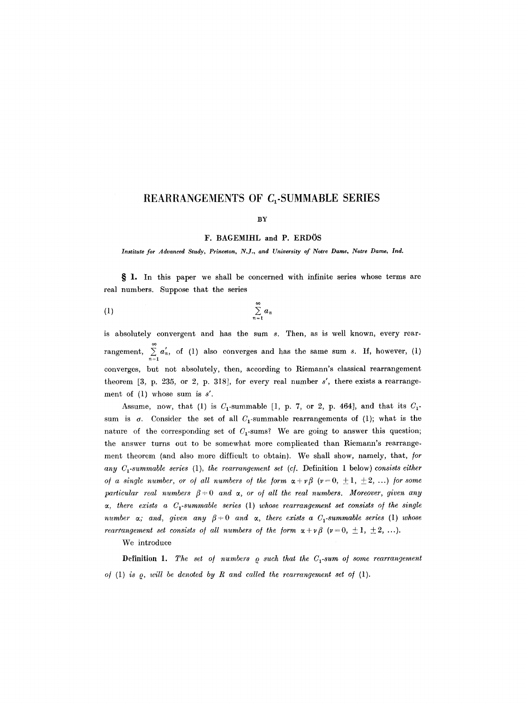# **REARRANGEMENTS OF Q-SUMMABLE SERIES**

#### **BY**

**F. BAGEMIHL and P. ERDOS** 

*Institute for Advanced Study, Princeton, N.J., and University of Notre Dame, Notre Dame, Ind.* 

§ 1. In this paper we shall be concerned with infinite series whose terms are real numbers. Suppose that the series

$$
(1) \qquad \sum_{n=1}^{\infty} a_n
$$

is absolutely convergent and has the sum s. Then, as is well known, every rearrangement,  $\sum_{n=1}^{\infty} a'_n$ , of (1) also converges and has the same sum s. If, however, (1) converges, but not absolutely, then, according to Riemann's classical rearrangement theorem [3, p. 235, or 2, p. 318], for every real number *s',* there exists a rearrangement of (1) whose sum is *s'.* 

Assume, now, that (1) is  $C_1$ -summable [1, p. 7, or 2, p. 464], and that its  $C_1$ sum is  $\sigma$ . Consider the set of all  $C_1$ -summable rearrangements of (1); what is the nature of the corresponding set of  $C_1$ -sums? We are going to answer this question; the answer turns out to be somewhat more complicated than Riemann's rearrangement theorem (and also more difficult to obtain). We shall show, namely, that, */or any Cl-summable series* (1), *the rearrangement set (c/.* Definition 1 below) *consists either of a single number, or of all numbers of the form*  $\alpha + \gamma \beta$  ( $\nu = 0, \pm 1, \pm 2, \ldots$ ) for some *particular real numbers*  $\beta = 0$  *and*  $\alpha$ *, or of all the real numbers. Moreover, given any ~, there exists a Cl-summable series* (1) *whose rearrangement set consists o/ the single number*  $\alpha$ ; and, given any  $\beta = 0$  and  $\alpha$ , there exists a  $C_1$ -summable series (1) whose *rearrangement set consists of all numbers of the form*  $\alpha + \nu \beta$  ( $\nu = 0, \pm 1, \pm 2, \ldots$ ).

We introduce

Definition 1. The set of numbers  $\rho$  such that the C<sub>1</sub>-sum of some rearrangement of  $(1)$  *is*  $\varrho$ *, will be denoted by R and called the rearrangement set of*  $(1)$ .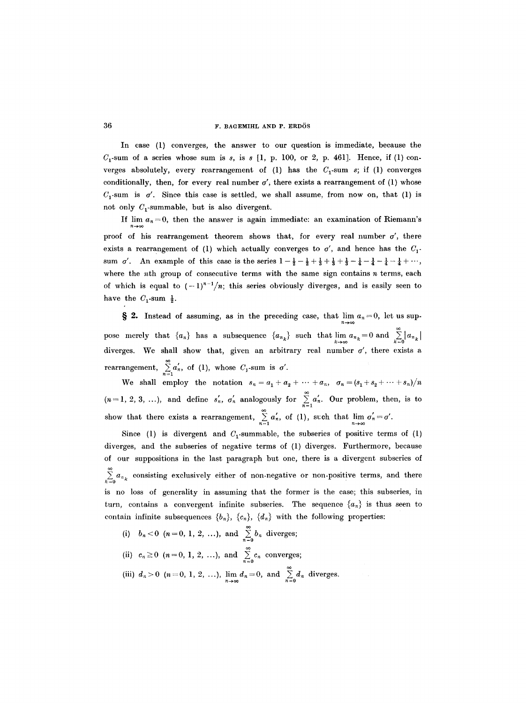In case (1) converges, the answer to our question is immediate, because the  $C_1$ -sum of a series whose sum is s, is s [1, p. 100, or 2, p. 461]. Hence, if (1) converges absolutely, every rearrangement of (1) has the  $C_1$ -sum s; if (1) converges conditionally, then, for every real number  $\sigma'$ , there exists a rearrangement of (1) whose  $C_1$ -sum is  $\sigma'$ . Since this case is settled, we shall assume, from now on, that (1) is not only  $C_1$ -summable, but is also divergent.

If lim  $a_n = 0$ , then the answer is again immediate: an examination of Riemann's  $n\!\to\!\infty$ proof of his rearrangement theorem shows that, for every real number  $\sigma'$ , there exists a rearrangement of (1) which actually converges to  $\sigma'$ , and hence has the  $C_1$ sum *o'*. An example of this case is the series  $1-\frac{1}{2}-\frac{1}{2}+\frac{1}{3}+\frac{1}{3}+\frac{1}{3}-\frac{1}{4}-\frac{1}{4}-\frac{1}{4}+\cdots$ , where the  $nth$  group of consecutive terms with the same sign contains  $n$  terms, each of which is equal to  $(-1)^{n-1}/n$ ; this series obviously diverges, and is easily seen to have the  $C_1$ -sum  $\frac{1}{2}$ .

 $\sum_{n=1}^{\infty}$  2. Instead of assuming, as in the preceding case, that  $\lim_{n\to\infty} a_n = 0$ , let us suppose merely that  ${a_n}$  has a subsequence  ${a_n}_k$  such that  $\lim_{k\to\infty} a_{n_k}=0$  and  $\sum_{k=0}^{\infty} |a_{n_k}|$ diverges. We shall show that, given an arbitrary real number  $\sigma'$ , there exists a rearrangement,  $\sum_{n=1}^{\infty} a'_n$ , of (1), whose  $C_1$ -sum is  $\sigma'$ .  $n=1$ 

We shall employ the notation  $s_n = a_1 + a_2 + \cdots + a_n$ ,  $\sigma_n = (s_1 + s_2 + \cdots + s_n)/n$  $(n = 1, 2, 3, ...)$ , and define  $s'_n$ ,  $\sigma'_n$  analogously for  $\sum_{n=1}^{\infty} a'_n$ . Our problem, then, is to show that there exists a rearrangement,  $\sum_{n=1}^{\infty} a_n$ , of (1), such that  $\lim_{n\to\infty} \sigma_n=\sigma'$ .

Since (1) is divergent and  $C_1$ -summable, the subseries of positive terms of (1) diverges, and the subseries of negative terms of (1) diverges. Furthermore, because of our suppositions in the last paragraph but one, there is a divergent subseries of  $\sum_{k=0} a_{n_k}$  consisting exclusively either of non-negative or non-positive terms, and there is no loss of generality in assuming that the former is the case; this subseries, in turn, contains a convergent infinite subseries. The sequence  ${a_n}$  is thus seen to contain infinite subsequences  $\{b_n\}$ ,  $\{c_n\}$ ,  $\{d_n\}$  with the following properties:

(i)  $b_n < 0$  ( $n = 0, 1, 2, ...$ ), and  $\sum_{n=0}^{\infty} b_n$  diverges; (ii)  $c_n \ge 0$  ( $n = 0, 1, 2, ...$ ), and  $\sum_{n=0}^{\infty} c_n$  converges; (iii)  $d_n>0$   $(n=0, 1, 2, ...), \lim_{n\to\infty} d_n=0,$  and  $\sum_{n=0}^{\infty} d_n$  diverges.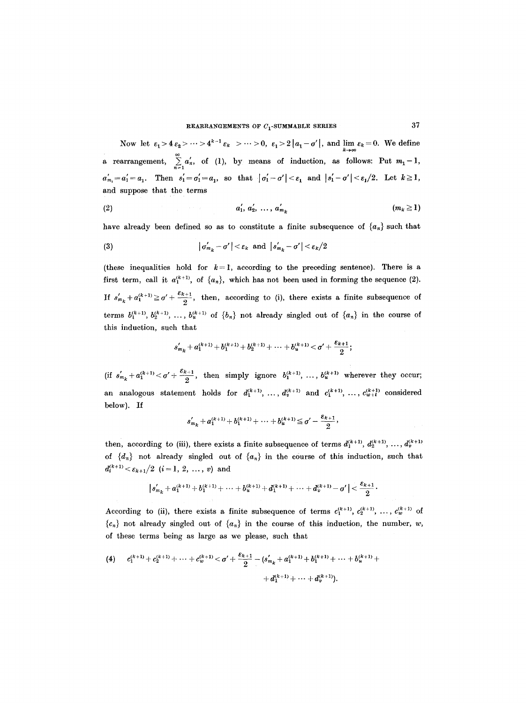Now let  $\varepsilon_1 > 4 \varepsilon_2 > \cdots > 4^{\kappa-1} \varepsilon_k > \cdots > 0$ ,  $\varepsilon_1 > 2 |a_1 - \sigma'|$ , and  $\lim_{k \to \infty} \varepsilon_k = 0$ . We define a rearrangement,  $\sum_{n=1} a_n$ , of (1), by means of induction, as follows: Put  $m_1 = 1$ ,  $a'_{m_1} = a'_1 = a_1$ . Then  $s'_1 = \sigma'_1 = a_1$ , so that  $|\sigma'_1 - \sigma'| < \varepsilon_1$  and  $|s'_1 - \sigma'| < \varepsilon_1/2$ . Let  $k \ge 1$ , and suppose that the terms

(2) 
$$
a'_1, a'_2, ..., a'_{m_k}
$$
  $(m_k \ge 1)$ 

have already been defined so as to constitute a finite subsequence of  ${a_n}$  such that

$$
|\sigma'_{m_k} - \sigma'| < \varepsilon_k \text{ and } |s'_{m_k} - \sigma'| < \varepsilon_k/2
$$

(these inequalities hold for  $k = 1$ , according to the preceding sentence). There is a first term, call it  $a_1^{(k+1)}$ , of  $\{a_n\}$ , which has not been used in forming the sequence (2). If  $s'_{m_k} + a_1^{(k+1)} \ge \sigma' + \frac{\varepsilon_{k+1}}{2}$ , then, according to (i), there exists a finite subsequence of terms  $b_1^{(k+1)}, b_2^{(k+1)}, \ldots, b_n^{(k+1)}$  of  $\{b_n\}$  not already singled out of  $\{a_n\}$  in the course of this induction, such that

$$
s'_{m_k} + a_1^{(k+1)} + b_1^{(k+1)} + b_2^{(k+1)} + \cdots + b_u^{(k+1)} < \sigma' + \frac{\varepsilon_{k+1}}{2};
$$

 $\text{(if } s'_{m_k}+a_1^{(k+1)}<\sigma' + \frac{\varepsilon_{k+1}}{2}, \text{ then simply ignore } b_1^{(k+1)}, \dots, b_u^{(k+1)} \text{ wherever they occur};$ an analogous statement holds for  $d_1^{(k+1)}, \ldots, d_v^{(k+1)}$  and  $c_1^{(k+1)}, \ldots, c_{w+t}^{(k+1)}$  considered below). If

$$
s'_{m_k} + a_1^{(k+1)} + b_1^{(k+1)} + \cdots + b_n^{(k+1)} \leq \sigma' - \frac{\varepsilon_{k+1}}{2},
$$

then, according to (iii), there exists a finite subsequence of terms  $d_1^{(k+1)}, d_2^{(k+1)}, \ldots, d_v^{(k+1)}$ of  $\{d_n\}$  not already singled out of  $\{a_n\}$  in the course of this induction, such that  $d_i^{(k+1)} < \varepsilon_{k+1}/2$   $(i = 1, 2, ..., v)$  and

$$
|s_{m_k}' + a_1^{(k+1)} + b_1^{(k+1)} + \cdots + b_u^{(k+1)} + d_1^{(k+1)} + \cdots + d_v^{(k+1)} - \sigma' | < \frac{\varepsilon_{k+1}}{2}.
$$

According to (ii), there exists a finite subsequence of terms  $c_1^{(k+1)}$ ,  $c_2^{(k+1)}$ , ...,  $c_w^{(k+1)}$  of  ${c_n}$  not already singled out of  ${a_n}$  in the course of this induction, the number, w, of these terms being as large as we please, such that

$$
\begin{array}{ll}\n\text{(4)} & c_1^{(k+1)} + c_2^{(k+1)} + \cdots + c_w^{(k+1)} < \sigma' + \frac{\varepsilon_{k+1}}{2} - \left( s'_{m_k} + a_1^{(k+1)} + b_1^{(k+1)} + \cdots + b_w^{(k+1)} + \right. \\
 & \left. + d_1^{(k+1)} + \cdots + d_v^{(k+1)} \right)\n\end{array}
$$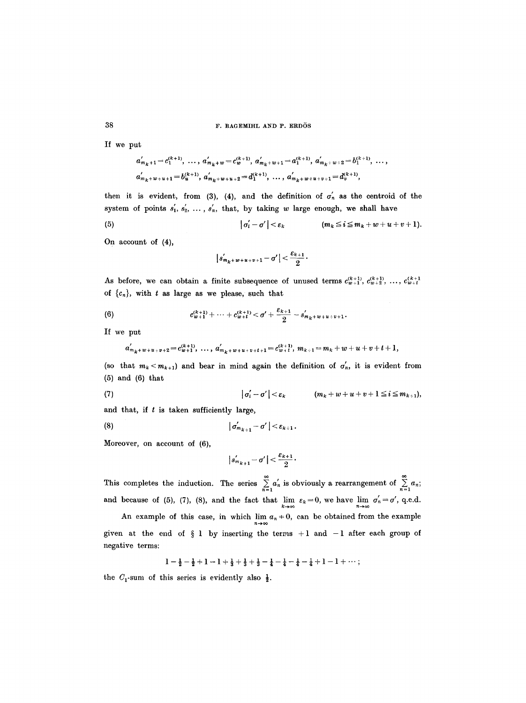If we put

38

$$
a'_{m_k+1} = c_1^{(k+1)}, \ldots, a'_{m_k+w} = c_w^{(k+1)}, a'_{m_k+w+1} = a_1^{(k+1)}, a'_{m_k+w+2} = b_1^{(k+1)}, \ldots, a'_{m_k+w+u+1} = b_u^{(k+1)}, a'_{m_k+w+u+2} = d_1^{(k+1)}, \ldots, a'_{m_k+w+u+v+1} = d_v^{(k+1)},
$$

then it is evident, from (3), (4), and the definition of  $\sigma'_n$  as the centroid of the system of points  $s'_1, s'_2, \ldots, s'_n$ , that, by taking w large enough, we shall have

(5) 
$$
|\sigma'_i-\sigma'|<\varepsilon_k \qquad (m_k\leq i\leq m_k+w+u+v+1).
$$

On account of (4),

$$
|s'_{m_{k}+w+u+v+1}-\sigma'|<\frac{\varepsilon_{k+1}}{2}.
$$

As before, we can obtain a finite subsequence of unused terms  $c_{w+1}^{(k+1)}, c_{w+2}^{(k+1)}, \ldots, c_{w+t}^{(k+1)}$ of  ${c_n}$ , with t as large as we please, such that

(6) 
$$
c_{w+1}^{(k+1)} + \cdots + c_{w+t}^{(k+1)} < \sigma' + \frac{\varepsilon_{k+1}}{2} - s'_{m_k + w + u + v + 1}.
$$

If we put

$$
a'_{m_k+w+u+v+2}=c^{(k+1)}_{w+1},\ \ldots,\ a'_{m_k+w+u+v+t+1}=c^{(k+1)}_{w+t},\ m_{k+1}=m_k+w+u+v+t+1,
$$

(so that  $m_k < m_{k+1}$ ) and bear in mind again the definition of  $\sigma'_n$ , it is evident from (5) and (6) that

(7) 
$$
|\sigma'_i - \sigma'| < \varepsilon_k \qquad (m_k + w + u + v + 1 \leq i \leq m_{k+1}),
$$

and that, if  $t$  is taken sufficiently large,

$$
|\sigma'_{m_{k+1}}-\sigma'|<\varepsilon_{k+1}.
$$

Moreover, on account of (6),

$$
|s'_{m_{k+1}} - \sigma'| < \frac{\varepsilon_{k+1}}{2} \cdot
$$

This completes the induction. The series  $\sum_{n=1} a'_n$  is obviously a rearrangement of  $\sum_{n=1} a_n$ ; and because of (5), (7), (8), and the fact that  $\lim_{k\to\infty} \varepsilon_k=0$ , we have  $\lim_{n\to\infty} \sigma'_n=\sigma'$ , q.e.d.

An example of this case, in which  $\lim_{n\to\infty} a_n = 0$ , can be obtained from the example given at the end of  $\S$  1 by inserting the terms +1 and -1 after each group of negative terms:

$$
1 - \tfrac{1}{2} - \tfrac{1}{2} + 1 - 1 + \tfrac{1}{3} + \tfrac{1}{3} + \tfrac{1}{3} - \tfrac{1}{4} - \tfrac{1}{4} - \tfrac{1}{4} - \tfrac{1}{4} + 1 - 1 + \cdots;
$$

the  $C_1$ -sum of this series is evidently also  $\frac{1}{2}$ .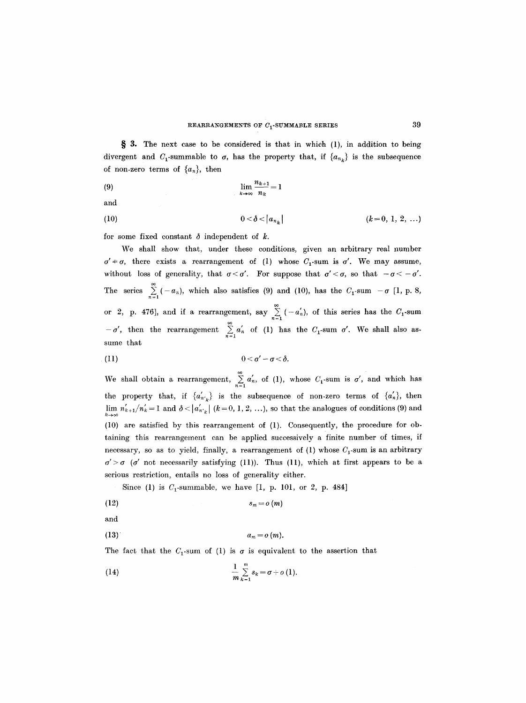§ 3. The next case to be considered is that in which (1), in addition to being divergent and  $C_1$ -summable to  $\sigma$ , has the property that, if  ${a_{n_k}}$  is the subsequence of non-zero terms of  $\{a_n\}$ , then

$$
\lim_{k \to \infty} \frac{n_{k+1}}{n_k} = 1
$$

and

(10) 
$$
0 < \delta < |a_{n_k}| \qquad (k = 0, 1, 2, ...)
$$

for some fixed constant  $\delta$  independent of k.

 $-\sigma'$ , then the rearrangement  $\sum_{n=1}^{\infty} a'_n$  of (1) has the  $C_1$ -sum  $\sigma'$ . We shall also assume that We shall show that, under these conditions, given an arbitrary real number  $\sigma' \neq \sigma$ , there exists a rearrangement of (1) whose  $C_1$ -sum is  $\sigma'$ . We may assume, without loss of generality, that  $\sigma < \sigma'$ . For suppose that  $\sigma' < \sigma$ , so that  $-\sigma < -\sigma'$ . The series  $\sum_{n=1}^{\infty}$  (-a<sub>n</sub>), which also satisfies (9) and (10), has the  $C_1$ -sum - $\sigma$  [1, p. 8, or 2, p. 476], and if a rearrangement, say  $\sum_{n=1}^{\infty}$  ( $-a'_n$ ), of this series has the  $C_1$ -sum

$$
0<\sigma'-\sigma<\delta.
$$

We shall obtain a rearrangement,  $\sum a'_n$ , of (1), whose  $C_1$ -sum is  $\sigma'$ , and which has the property that, if  $\{a'_{n'k}\}\$ is the subsequence of non-zero terms of  $\{a'_n\}$ , then  $\lim_{k\to\infty} n'_{k+1}/n'_{k} = 1$  and  $\delta < |a'_{n'_{k}}|$  ( $k = 0, 1, 2, ...$ ), so that the analogues of conditions (9) and (10) are satisfied by this rearrangement of (1). Consequently, the procedure for obraining this rearrangement can be applied successively a finite number of times, if necessary, so as to yield, finally, a rearrangement of (1) whose  $C_1$ -sum is an arbitrary  $\sigma' > \sigma$  ( $\sigma'$  not necessarily satisfying (11)). Thus (11), which at first appears to be a serious restriction, entails no loss of generality either.

Since (1) is  $C_1$ -summable, we have [1, p. 101, or 2, p. 484]

$$
(12) \t\t s_m = o(m)
$$

and

$$
(13) \t a_m = o(m).
$$

The fact that the  $C_1$ -sum of (1) is  $\sigma$  is equivalent to the assertion that

(14) 
$$
\frac{1}{m}\sum_{k=1}^{m} s_k = \sigma + o(1)
$$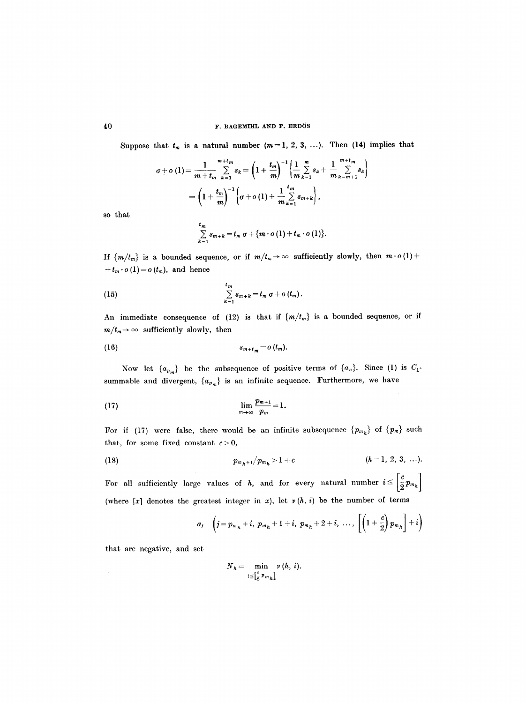Suppose that  $t_m$  is a natural number  $(m=1, 2, 3, ...)$ . Then (14) implies that

$$
\sigma + o(1) = \frac{1}{m + t_m} \sum_{k=1}^{m + t_m} s_k = \left(1 + \frac{t_m}{m}\right)^{-1} \left\{\frac{1}{m} \sum_{k=1}^{m} s_k + \frac{1}{m} \sum_{k=m+1}^{m + t_m} s_k\right\}
$$

$$
= \left(1 + \frac{t_m}{m}\right)^{-1} \left\{\sigma + o(1) + \frac{1}{m} \sum_{k=1}^{t_m} s_{m+k}\right\},
$$

so that

$$
\sum_{k=1}^{t_m} s_{m+k} = t_m \sigma + \{m \cdot o(1) + t_m \cdot o(1)\}.
$$

If  ${m/t_m}$  is a bounded sequence, or if  $m/t_m \to \infty$  sufficiently slowly, then  $m \cdot o(1)$  +  $+t_m \cdot o(1) = o(t_m)$ , and hence

(15) 
$$
\sum_{k=1}^{t_m} s_{m+k} = t_m \sigma + o(t_m).
$$

An immediate consequence of (12) is that if  $\{m/t_m\}$  is a bounded sequence, or if  $m/t_m \rightarrow \infty$  sufficiently slowly, then

$$
(16) \t\t s_{m+t_m}=o(t_m).
$$

Now let  ${a_{p_m}}$  be the subsequence of positive terms of  ${a_n}$ . Since (1) is  $C_1$ summable and divergent,  ${a_{p_m}}$  is an infinite sequence. Furthermore, we have

$$
\lim_{m\to\infty}\frac{p_{m+1}}{p_m}=1.
$$

For if (17) were false, there would be an infinite subsequence  ${p_{m}}$  of  ${p_m}$  such that, for some fixed constant  $c > 0$ ,

(18) 
$$
p_{m_h+1}/p_{m_h} > 1 + c \qquad (h = 1, 2, 3, ...).
$$

For all sufficiently large values of h, and for every natural number  $i \leq \left\lceil \frac{c}{2} p_{m_h} \right\rceil$ (where  $[x]$  denotes the greatest integer in x); let  $v(h, i)$  be the number of terms

$$
a_j \quad \left(j = p_{m_h} + i, \ p_{m_h} + 1 + i, \ p_{m_h} + 2 + i, \ \ldots, \ \left[\left(1 + \frac{c}{2}\right)p_{m_h}\right] + i\right)
$$

that are negative, and set

$$
N_h = \min_{i \leq \left[\frac{c}{2} p_{m_h}\right]} v(h, i).
$$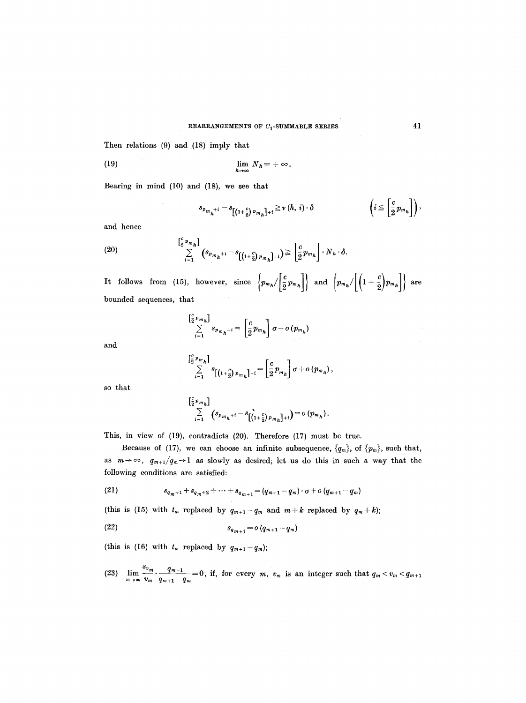Then relations (9) and (18) imply that

(19) 
$$
\lim_{h\to\infty} N_h = +\infty.
$$

Bearing in mind (10) and (18), we see that

$$
s_{p_{m_h^{+i}}}-s_{\left[\left(1+\frac{c}{2}\right)p_{m_h}\right]+i}\geq\nu\left(h,\,i\right)\cdot\delta\qquad\qquad\left(i\leq\left[\frac{c}{2}p_{m_h}\right]\right),
$$

and hence

(20) 
$$
\sum_{i=1}^{\left[\frac{c}{2}p_{m_{h}}\right]} \left(s_{p_{m_{h}}+i}-s_{\left[\left(1+\frac{c}{2}\right)p_{m_{h}}\right]+i}\right) \geq \left[\frac{c}{2}p_{m_{h}}\right]\cdot N_{h}\cdot\delta.
$$

It follows from (15), however, since  $\left\{p_{m_h}/\left[\frac{c}{2}p_{m_h}\right]\right\}$  and  $\left\{p_{m_h}/\left[\left(1+\frac{c}{2}\right)p_{m_h}\right]\right\}$  are bounded sequences, that

$$
\sum_{i=1}^{\left[\frac{c}{2}p_{m_{h}}\right]}s_{p_{m_{h}}+i}=\left[\frac{c}{2}p_{m_{h}}\right]\sigma+o(p_{m_{h}})
$$

and

$$
\sum_{i=1}^{\left[\frac{c}{2}p_{m_{h}}\right]}s_{\left[\left(1+\frac{c}{2}\right)p_{m_{h}}\right]+i}=\left[\frac{c}{2}p_{m_{h}}\right]\sigma+o\left(p_{m_{h}}\right),
$$

so that

$$
\sum_{i=1}^{c} p_{m_h} \Big] \sum_{i=1}^{c} \left( s_{p_{m_h}+i} - s \Big[ \Big( 1 + \frac{c}{2} \Big) p_{m_h} \Big] + i \right) = o \left( p_{m_h} \right).
$$

This, in view of (19), contradicts (20). Therefore (17) must be true.

Because of (17), we can choose an infinite subsequence,  $\{q_m\}$ , of  $\{p_m\}$ , such that, as  $m \rightarrow \infty$ ,  $q_{m+1}/q_m \rightarrow 1$  as slowly as desired; let us do this in such a way that the following conditions are satisfied:

(21) 
$$
s_{q_m+1}+s_{q_m+2}+\cdots+s_{q_{m+1}}=(q_{m+1}-q_m)\cdot\sigma+o(q_{m+1}-q_m)
$$

(this is (15) with  $t_m$  replaced by  $q_{m+1}-q_m$  and  $m+k$  replaced by  $q_m+k$ );

$$
(22) \t\t s_{q_{m+1}} = o(q_{m+1} - q_m)
$$

(this is (16) with  $t_m$  replaced by  $q_{m+1}-q_m$ );

(23)  $\lim_{m\to\infty} \frac{m}{v_m} \cdot \frac{m+1}{q_{m+1}-q_m} = 0$ , if, for every *m*,  $v_m$  is an integer such that  $q_m < v_m < q_{m+1}$ 

 $\Gamma$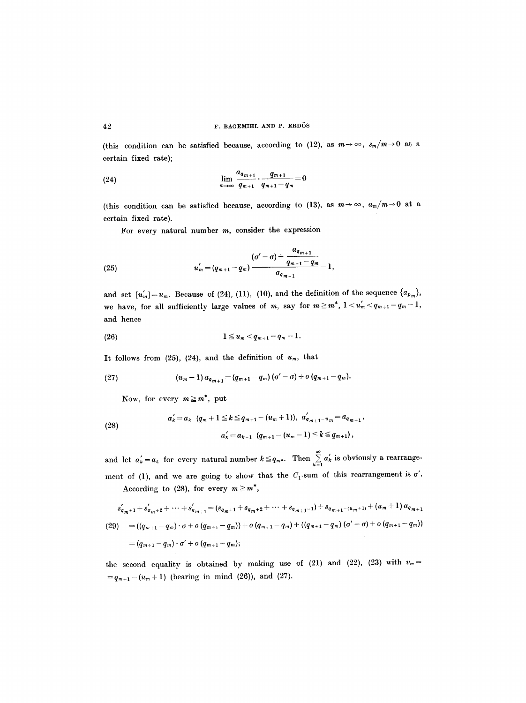(this condition can be satisfied because, according to (12), as  $m \to \infty$ ,  $s_m/m \to 0$  at a certain fixed rate);

(24) 
$$
\lim_{m \to \infty} \frac{a_{q_{m+1}}}{q_{m+1}} \cdot \frac{q_{m+1}}{q_{m+1} - q_m} = 0
$$

(this condition can be satisfied because, according to (13), as  $m \to \infty$ ,  $a_m/m \to 0$  at a certain fixed rate).

For every natural number  $m$ , consider the expression

(25) 
$$
u'_{m} = (q_{m+1} - q_{m}) \frac{(o' - o) + \frac{a_{q_{m+1}}}{q_{m+1} - q_{m}}}{a_{q_{m+1}}} - 1,
$$

and set  $[u_m]=u_m$ . Because of (24), (11), (10), and the definition of the sequence  $\{a_{p_m}\},\$ we have, for all sufficiently large values of m, say for  $m \geq m^*$ ,  $1 < u'_m < q_{m+1}-q_m-1$ , and hence

(26) 
$$
1 \leq u_m < q_{m+1} - q_m - 1.
$$

It follows from (25), (24), and the definition of  $u_m$ , that

(27) 
$$
(u_m+1) a_{q_{m+1}} = (q_{m+1}-q_m) (\sigma'-\sigma) + o (q_{m+1}-q_m).
$$

Now, for every  $m \geq m^*$ , put

(28) 
$$
a'_{k} = a_{k} (q_{m} + 1 \leq k \leq q_{m+1} - (u_{m} + 1)), a'_{q_{m+1} - u_{m}} = a_{q_{m+1}},
$$

$$
a'_{k} = a_{k-1} (q_{m+1} - (u_{m} - 1) \leq k \leq q_{m+1}),
$$

and let  $a'_k = a_k$  for every natural number  $k \leq q_m$ . Then  $\sum\limits_{k=1} a_k$  is obviously a rearrangement of (1), and we are going to show that the  $C_1$ -sum of this rearrangement is  $\sigma'$ . According to (28), for every  $m \ge m^*$ ,

$$
s'_{q_{m+1}} + s'_{q_{m+2}} + \cdots + s'_{q_{m+1}} = (s_{q_{m+1}} + s_{q_{m+2}} + \cdots + s_{q_{m+1}-1}) + s_{q_{m+1} - (u_{m}+1)} + (u_{m}+1) a_{q_{m+1}}
$$
  
(29) =  $((q_{m+1} - q_m) \cdot \sigma + o(q_{m+1} - q_m)) + o(q_{m+1} - q_m) + ((q_{m+1} - q_m) (\sigma' - \sigma) + o(q_{m+1} - q_m))$   
=  $(q_{m+1} - q_m) \cdot \sigma' + o(q_{m+1} - q_m);$ 

the second equality is obtained by making use of (21) and (22), (23) with  $v_m=$  $=q_{m+1}-(u_m+1)$  (bearing in mind (26)), and (27).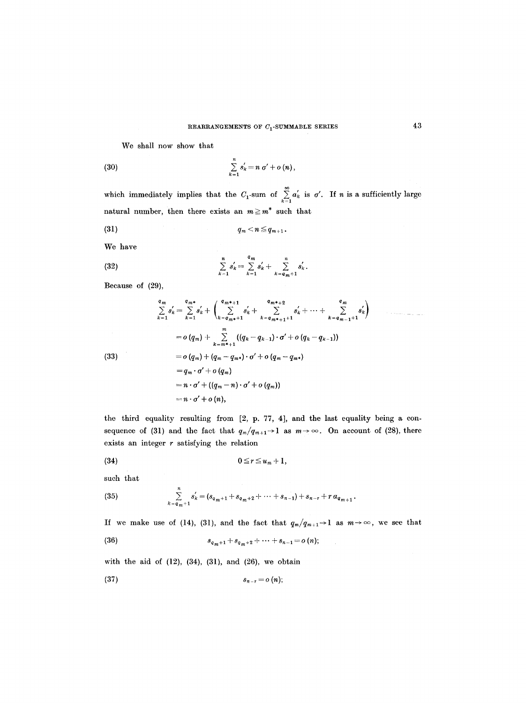We shall now show that

(30) 
$$
\sum_{k=1}^{n} s'_k = n \sigma' + o(n),
$$

which immediately implies that the  $C_1$ -sum of  $\sum_{k=1} a_k$  is  $\sigma'$ . If *n* is a sufficiently large natural number, then there exists an  $m \geq m^*$  such that

$$
(31) \t\t q_m < n \leq q_{m+1}.
$$

We have

(32) 
$$
\sum_{k=1}^{n} s'_{k} = \sum_{k=1}^{q_{m}} s'_{k} + \sum_{k=q_{m}+1}^{n} s'_{k}.
$$

Because of (29),

$$
\sum_{k=1}^{q_m} s'_k = \sum_{k=1}^{q_m*} s'_k + \left( \sum_{k=q_m*+1}^{q_m*+1} s'_k + \sum_{k=q_m*+1+1}^{q_m*+2} s'_k + \cdots + \sum_{k=q_{m-1}+1}^{q_m} s'_k \right)
$$
  
\n
$$
= o(q_m) + \sum_{k=m*+1}^{m} ((q_k - q_{k-1}) \cdot \sigma' + o(q_k - q_{k-1}))
$$
  
\n(33)  
\n
$$
= o(q_m) + (q_m - q_{m*}) \cdot \sigma' + o(q_m - q_{m*})
$$
  
\n
$$
= q_m \cdot \sigma' + o(q_m)
$$
  
\n
$$
= n \cdot \sigma' + ((q_m - n) \cdot \sigma' + o(q_m))
$$
  
\n
$$
= n \cdot \sigma' + o(n),
$$

the third equality resulting from [2, p. 77, 4], and the last equality being a consequence of (31) and the fact that  $q_m/q_{m+1} \rightarrow 1$  as  $m \rightarrow \infty$ . On account of (28), there exists an integer  $r$  satisfying the relation

$$
(34) \t\t 0 \leq r \leq u_m+1,
$$

such that

(35) 
$$
\sum_{k=q_m+1}^{n} s'_k = (s_{q_m+1} + s_{q_m+2} + \cdots + s_{n-1}) + s_{n-r} + r a_{q_{m+1}}.
$$

If we make use of (14), (31), and the fact that  $q_m/q_{m+1} \rightarrow 1$  as  $m \rightarrow \infty$ , we see that

 $\hat{\boldsymbol{\beta}}$ 

(36) 
$$
s_{q_m+1}+s_{q_m+2}+\cdots+s_{n-1}=o(n);
$$

with the aid of  $(12)$ ,  $(34)$ ,  $(31)$ , and  $(26)$ , we obtain

$$
(37) \t\t s_{n-r}=o(n);
$$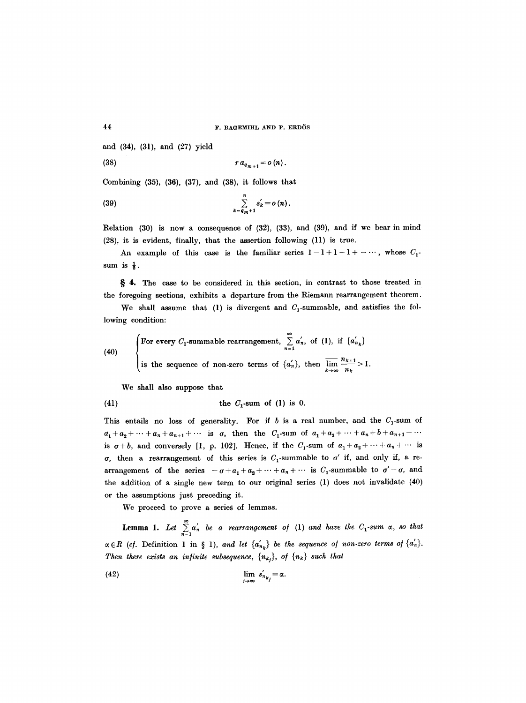and (34), (31), and (27) yield

(38) *r aq~+l = o (n).* 

Combining (35), (36), (37), and (38), it follows that

$$
\sum_{k=q_{m}+1}^{n} s'_{k}=o(n).
$$

Relation (30) is now a consequence of (32), (33), and (39), and if we bear in mind (28), it is evident, finally, that the assertion following (11) is true.

An example of this case is the familiar series  $1-1+1-1+\cdots$ , whose  $C_1$ . sum is  $\frac{1}{2}$ .

§ 4. The case to be considered in this section, in contrast to those treated in the foregoing sections, exhibits a departure from the Riemann rearrangement theorem.

We shall assume that (1) is divergent and  $C_1$ -summable, and satisfies the following condition:

(40)   
 
$$
\begin{cases} \text{For every } C_1 \text{-summable rearrangement, } \sum_{n=1}^{\infty} a'_n, \text{ of (1), if } \{a'_{n_k}\} \\ \text{is the sequence of non-zero terms of } \{a'_n\}, \text{ then } \overline{\lim_{k \to \infty}} \frac{n_{k+1}}{n_k} > 1. \end{cases}
$$

We shall also suppose that

$$
(41) \t\t the C1-sum of (1) is 0.
$$

This entails no loss of generality. For if b is a real number, and the  $C_1$ -sum of  $a_1 + a_2 + \cdots + a_n + a_{n+1} + \cdots$  is  $\sigma$ , then the  $C_1$ -sum of  $a_1 + a_2 + \cdots + a_n + b + a_{n+1} + \cdots$ is  $\sigma+b$ , and conversely [1, p. 102]. Hence, if the  $C_1$ -sum of  $a_1 + a_2 + \cdots + a_n + \cdots$  is  $\sigma$ , then a rearrangement of this series is  $C_1$ -summable to  $\sigma'$  if, and only if, a rearrangement of the series  $-\sigma+a_1+a_2+\cdots+a_n+\cdots$  is  $C_1$ -summable to  $\sigma'-\sigma$ , and the addition of a single new term to our original series (1) does not invalidate (40) or the assumptions just preceding it.

We proceed to prove a series of lemmas.

**Lemma 1.** Let  $\sum_{n=1}^{\infty} a'_n$  be a rearrangement of (1) and have the  $C_1$ -sum  $\alpha$ , so that  $\alpha \in R$  (cf. Definition 1 in § 1), and let  $\{a'_{n_k}\}\$  be the sequence of non-zero terms of  $\{a'_n\}$ . *Then there exists an infinite subsequence,*  ${n_{k_i}}$ , *of*  ${n_k}$  *such that* 

$$
\lim_{j\to\infty} s'_{n_{k_j}} = \alpha.
$$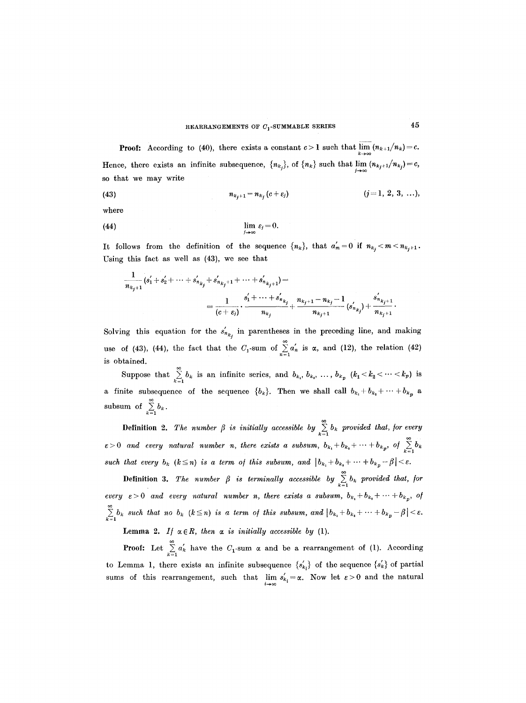**Proof:** According to (40), there exists a constant  $c > 1$  such that  $\lim_{k \to \infty} (n_{k+1}/n_k) = c$ . Hence, there exists an infinite subsequence,  $\{n_{k_j}\}\$ , of  $\{n_k\}$  such that  $\lim_{j\to\infty} (n_{k_j+1}/n_{k_j})=c$ , so that we may write

(43) 
$$
n_{k_j+1} = n_{k_j}(c+\varepsilon_j) \qquad (j=1, 2, 3, ...),
$$

where

(44) 
$$
\lim_{j\to\infty}\varepsilon_j=0.
$$

It follows from the definition of the sequence  $\{n_k\}$ , that  $a'_m=0$  if  $n_{k_j} < m < n_{k_j+1}$ . Using this fact as well as (43), we see that

$$
\frac{1}{n_{k_j+1}}(s'_1+s'_2+\cdots+s'_{n_{k_j}}+s'_{n_{k_j+1}}+\cdots+s'_{n_{k_j+1}})=\\=\frac{1}{(c+\varepsilon_j)}\cdot\frac{s'_1+\cdots+s'_{n_{k_j}}}{n_{k_j}}+\frac{n_{k_j+1}-n_{k_j}-1}{n_{k_j+1}}(s'_{n_{k_j}})+\frac{s'_{n_{k_j+1}}}{n_{k_j+1}}.
$$

Solving this equation for the  $s'_{n_{k_j}}$  in parentheses in the preceding line, and making use of (43), (44), the fact that the  $C_1$ -sum of  $\sum_{n=1}^{\infty} a'_n$  is  $\alpha$ , and (12), the relation (42) is. obtained.

Suppose that  $\sum_{k=1}^{\infty} b_k$  is an infinite series, and  $b_{k_1}, b_{k_2}, \ldots, b_{k_p}$   $(k_1 < k_2 < \cdots < k_p)$  is a finite subsequence of the sequence  ${b_k}$ . Then we shall call  $b_{k_1}+b_{k_2}+\cdots+b_{k_p}$  a subsum of  $\sum_{k=1}^{\infty} b_k$ .

**Definition 2.** The number  $\beta$  is initially accessible by  $\sum_{k=1}^{\infty} b_k$  provided that, for every  $\varepsilon > 0$  and every natural number n, there exists a subsum,  $b_{k_1} + b_{k_2} + \cdots + b_{k_p}$ , of  $\sum_{k=1}^{\infty} b_k$ such that every  $b_k$   $(k \leq n)$  is a term of this subsum, and  $|b_{k_1}+b_{k_2}+\cdots+b_{k_p}-\beta| < \varepsilon$ .

**Definition 3.** The number  $\beta$  is terminally accessible by  $\sum_{k=1}^{\infty} b_k$  provided that, for *every*  $\varepsilon > 0$  and every natural number n, there exists a subsum,  $b_{k_1} + b_{k_2} + \cdots + b_{k_p}$ , of  $\sum\limits_{k=1}^{\infty}b_k$  such that no  $b_k$   $(k\leq n)$  is a term of this subsum, and  $\left|b_{k_1}+b_{k_2}+\cdots+b_{k_p}-\beta\right|<\varepsilon$ .

Lemma 2. If  $\alpha \in R$ , then  $\alpha$  is initially accessible by (1).

**Proof:** Let  $\sum_{k=1}^{\infty} a'_k$  have the  $C_1$ -sum  $\alpha$  and be a rearrangement of (1). According to Lemma 1, there exists an infinite subsequence  $\{s'_{k_i}\}\$  of the sequence  $\{s'_k\}\$  of partial sums of this rearrangement, such that  $\lim_{i \to \infty} s'_{k_i} = \alpha$ . Now let  $\varepsilon > 0$  and the natural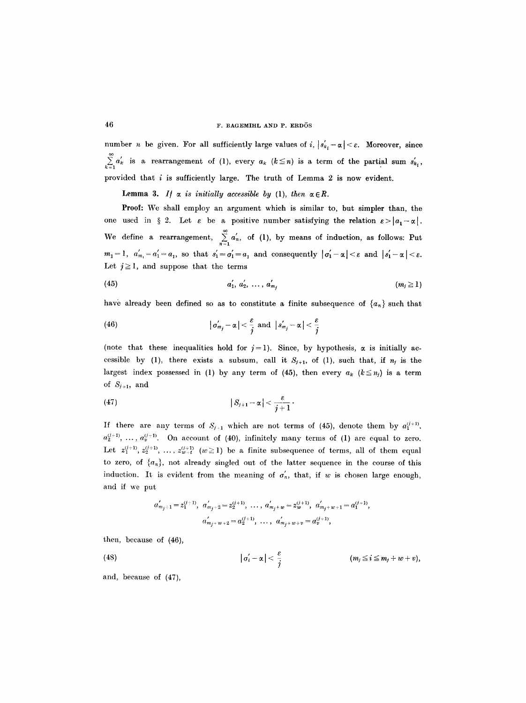number *n* be given. For all sufficiently large values of i,  $|s'_{k_i} - \alpha| < \varepsilon$ . Moreover, since  $\sum_{k=1}^{\infty} a_k$  is a rearrangement of (1), every  $a_k$  ( $k \leq n$ ) is a term of the partial sum  $s'_{k_i}$ , provided that  $i$  is sufficiently large. The truth of Lemma 2 is now evident.

Lemma 3. If  $\alpha$  is initially accessible by (1), then  $\alpha \in R$ .

**Proof:** We shall employ an argument which is similar to, but simpler than, the one used in  $\S 2$ . Let  $\varepsilon$  be a positive number satisfying the relation  $\varepsilon > |a_1 - \alpha|$ . We define a rearrangement,  $\sum_{n=1}^{\infty} a'_n$ , of (1), by means of induction, as follows: Put  $m_1 = 1$ ,  $a'_{m_1} = a'_1 = a_1$ , so that  $s'_1 = \sigma'_1 = a_1$  and consequently  $|\sigma'_1 - \alpha| < \varepsilon$  and  $|s'_1 - \alpha| < \varepsilon$ . Let  $j \geq 1$ , and suppose that the terms

(45) 
$$
a'_1, a'_2, \ldots, a'_{m_j} \qquad (m_j \geq 1)
$$

have already been defined so as to constitute a finite subsequence of  $\{a_n\}$  such that

(46) 
$$
|\sigma'_{m_j} - \alpha| < \frac{\varepsilon}{j} \text{ and } |s'_{m_j} - \alpha| < \frac{\varepsilon}{j}
$$

(note that these inequalities hold for  $j=1$ ). Since, by hypothesis,  $\alpha$  is initially accessible by (1), there exists a subsum, call it  $S_{j+1}$ , of (1), such that, if  $n_j$  is the largest index possessed in (1) by any term of (45), then every  $a_k$  ( $k \leq n_j$ ) is a term of  $S_{j+1}$ , and

$$
|S_{j+1}-\alpha|<\frac{\varepsilon}{j+1}.
$$

If there are any terms of  $S_{j+1}$  which are not terms of (45), denote them by  $a_1^{(j+1)}$ ,  $a_2^{(j+1)}$ , ...,  $a_2^{(j+1)}$ . On account of (40), infinitely many terms of (1) are equal to zero. Let  $z_1^{(j+1)}, z_2^{(j+1)}, \ldots, z_{w+t}^{(j+1)}$  ( $w \ge 1$ ) be a finite subsequence of terms, all of them equal to zero, of  $\{a_n\}$ , not already singled out of the latter sequence in the course of this induction. It is evident from the meaning of  $\sigma'_n$ , that, if w is chosen large enough, and if we put

$$
a'_{m_j+1} = z_1^{(j+1)}, \ a'_{m_j+2} = z_2^{(j+1)}, \ \ldots, \ a'_{m_j+w} = z_w^{(j+1)}, \ a'_{m_j+w+1} = a_1^{(j+1)},
$$
  

$$
a'_{m_j+w+2} = a_2^{(j+1)}, \ \ldots, \ a'_{m_j+w+v} = a_v^{(j+1)},
$$

then, because of (46),

(48) 
$$
|\sigma'_i - \alpha| < \frac{\varepsilon}{j} \qquad (m_j \leq i \leq m_j + w + v),
$$

and, because of (47),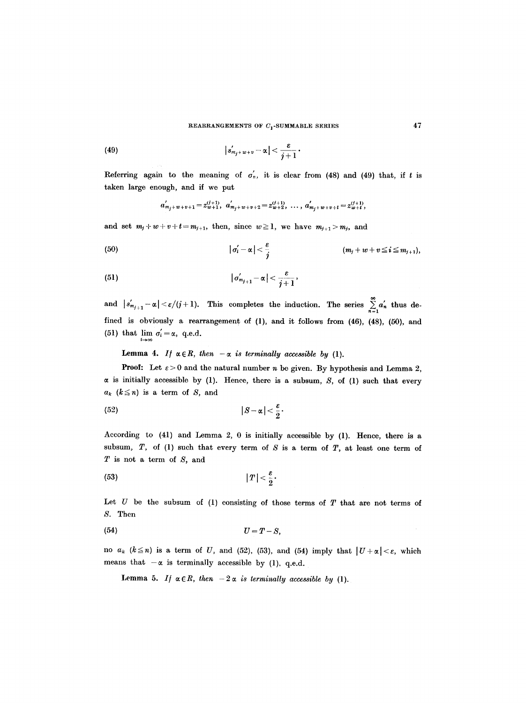(49) 
$$
|s'_{m_j+w+v}-\alpha|<\frac{\varepsilon}{j+1}.
$$

Referring again to the meaning of  $\sigma'_n$ , it is clear from (48) and (49) that, if t is taken large enough, and if we put

$$
a'_{m_j+w+v+1} = z_{w+1}^{(j+1)}, a'_{m_j+w+v+2} = z_{w+2}^{(j+1)}, \ldots, a'_{m_j+w+v+t} = z_{w+t}^{(j+1)},
$$

and set  $m_j+w+v+t=m_{j+1}$ , then, since  $w \ge 1$ , we have  $m_{j+1} > m_j$ , and

(50) 
$$
|\sigma'_i - \alpha| < \frac{\varepsilon}{j} \qquad (m_j + w + v \leq i \leq m_{j+1}),
$$

(51) 
$$
|\sigma'_{m_{j+1}} - \alpha| < \frac{\varepsilon}{j+1},
$$

and  $|s_{m_{j+1}} - \alpha| < \varepsilon/(j+1)$ . This completes the induction. The series  $\sum_{n=1}^{\infty} a'_n$  thus defined is obviously a rearrangement of (1), and it follows from (46), (48), (50), and (51) that  $\lim_{i \to \infty} \sigma'_i = \alpha$ , q.e.d.

Lemma 4. If  $\alpha \in R$ , then  $-\alpha$  is terminally accessible by (1).

**Proof:** Let  $\varepsilon > 0$  and the natural number n be given. By hypothesis and Lemma 2,  $\alpha$  is initially accessible by (1). Hence, there is a subsum, S, of (1) such that every  $a_k$  ( $k \leq n$ ) is a term of S, and

$$
(52) \t\t |S-\alpha|<\frac{\varepsilon}{2}.
$$

According to (41) and Lemma 2, 0 is initially accessible by (1). Hence, there is a subsum,  $T$ , of (1) such that every term of  $S$  is a term of  $T$ , at least one term of  $T$  is not a term of  $S$ , and

$$
|T| < \frac{\varepsilon}{2}.
$$

Let  $U$  be the subsum of (1) consisting of those terms of  $T$  that are not terms of S. Then

$$
(54) \tU = T - S,
$$

no  $a_k$  ( $k \leq n$ ) is a term of *U*, and (52), (53), and (54) imply that  $|U+\alpha| < \varepsilon$ , which means that  $-\alpha$  is terminally accessible by (1), q.e.d.

Lemma 5. *If*  $\alpha \in R$ , then  $-2\alpha$  is terminally accessible by (1).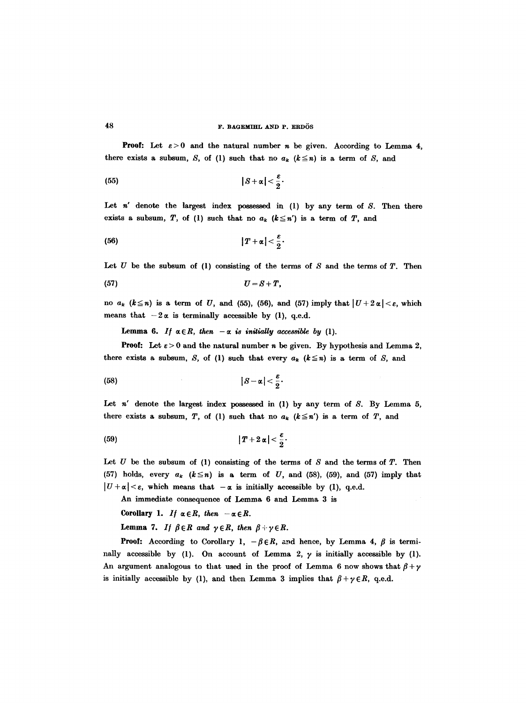**Proof:** Let  $\varepsilon > 0$  and the natural number *n* be given. According to Lemma 4, there exists a subsum, S, of (1) such that no  $a_k$  ( $k \leq n$ ) is a term of S, and

$$
(55) \t\t |S+\alpha| < \frac{\varepsilon}{2}.
$$

Let  $n'$  denote the largest index possessed in (1) by any term of  $S$ . Then there exists a subsum, T, of (1) such that no  $a_k$  ( $k \leq n'$ ) is a term of T, and

$$
|T+\alpha|<\frac{\varepsilon}{2}.
$$

Let  $U$  be the subsum of (1) consisting of the terms of  $S$  and the terms of  $T$ . Then

$$
(57) \tU=S+T,
$$

no  $a_k$  ( $k \le n$ ) is a term of U, and (55), (56), and (57) imply that  $|U+2\alpha| < \varepsilon$ , which means that  $-2\alpha$  is terminally accessible by (1), q.e.d.

**Lemma 6.** If  $\alpha \in R$ , then  $-\alpha$  is initially accessible by (1).

**Proof:** Let  $\varepsilon > 0$  and the natural number n be given. By hypothesis and Lemma 2, there exists a subsum, S, of (1) such that every  $a_k$  ( $k \leq n$ ) is a term of S, and

$$
|S-\alpha|<\frac{\varepsilon}{2}
$$

Let  $n'$  denote the largest index possessed in (1) by any term of  $S$ . By Lemma 5, there exists a subsum, T, of (1) such that no  $a_k$  ( $k \leq n'$ ) is a term of T, and

$$
(59) \t\t\t |T+2\alpha|<\frac{\varepsilon}{2}.
$$

Let  $U$  be the subsum of (1) consisting of the terms of  $S$  and the terms of  $T$ . Then (57) holds, every  $a_k$  ( $k \leq n$ ) is a term of U, and (58), (59), and (57) imply that  $|U+\alpha|<\varepsilon$ , which means that  $-\alpha$  is initially accessible by (1), q.e.d.

An immediate consequence of Lemma 6 and Lemma 3 is

Corollary 1. If  $\alpha \in R$ , then  $-\alpha \in R$ .

**Lemma 7.** *If*  $\beta \in R$  *and*  $\gamma \in R$ , *then*  $\beta + \gamma \in R$ .

**Proof:** According to Corollary 1,  $-\beta \in R$ , and hence, by Lemma 4,  $\beta$  is terminally accessible by (1). On account of Lemma 2,  $\gamma$  is initially accessible by (1). An argument analogous to that used in the proof of Lemma 6 now shows that  $\beta + \gamma$ is initially accessible by (1), and then Lemma 3 implies that  $\beta + \gamma \in R$ , q.e.d.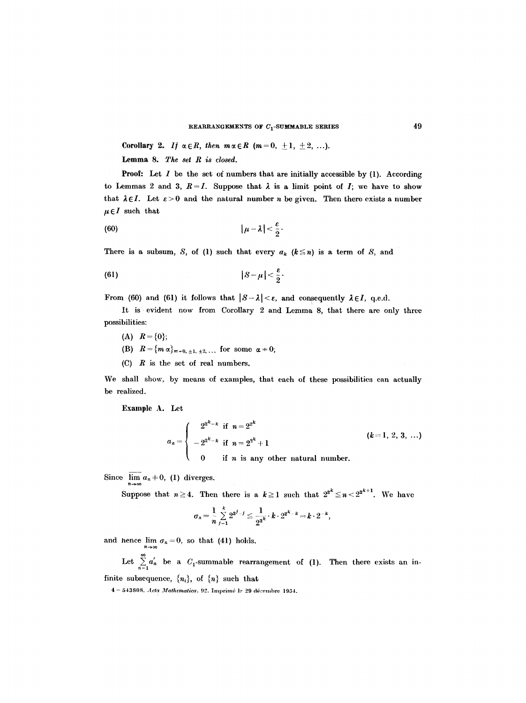**Corollary 2.** If  $\alpha \in R$ , then  $m \alpha \in R$  ( $m=0, \pm 1, \pm 2, ...$ ).

Lemma 8. *The set R is closed.* 

**Proof:** Let  $I$  be the set of numbers that are initially accessible by  $(1)$ . According to Lemmas 2 and 3,  $R = I$ . Suppose that  $\lambda$  is a limit point of I; we have to show that  $\lambda \in I$ . Let  $\varepsilon > 0$  and the natural number n be given. Then there exists a number  $\mu \in I$  such that

$$
|\mu-\lambda|<\frac{\varepsilon}{2}.
$$

There is a subsum, *S*, of (1) such that every  $a_k$  ( $k \leq n$ ) is a term of *S*, and

$$
(61) \t\t |S-\mu|<\frac{\varepsilon}{2}.
$$

From (60) and (61) it follows that  $|S - \lambda| < \varepsilon$ , and consequently  $\lambda \in I$ , q.e.d.

It is evident now from Corollary 2 and Lemma 8, that there are only three possibilities:

- (A)  $R = \{0\};$
- (B)  $R = \{m \alpha\}_{m=0, \pm 1, \pm 2, \ldots}$  for some  $\alpha = 0$ ;
- $(C)$  R is the set of real numbers.

We shall show, by means of examples, that each of these possibilities can actually be realized.

Example A. Let

$$
a_n = \begin{cases} 2^{2^k - k} & \text{if } n = 2^{2^k} \\ -2^{2^k - k} & \text{if } n = 2^{2^k} + 1 \\ 0 & \text{if } n \text{ is any other natural number.} \end{cases} \qquad (k = 1, 2, 3, ...)
$$

Since  $\overline{\lim} a_n \neq 0$ , (1) diverges.

Suppose that  $n\geq 4$ . Then there is a  $k\geq 1$  such that  $2^{2^k}\leq n< 2^{2^{k+1}}$ . We have

$$
\sigma_n = \frac{1}{n} \sum_{j=1}^k 2^{2^{j}-j} \leq \frac{1}{2^{2^k}} \cdot k \cdot 2^{2^{k}-k} = k \cdot 2^{-k},
$$

and hence  $\lim_{n\to\infty} \sigma_n = 0$ , so that (41) holds.

Let  $\sum_{n=1}^{\infty} a_n$  be a  $C_1$ -summable rearrangement of (1). Then there exists an infinite subsequence,  $\{n_i\}$ , of  $\{n\}$  such that

4 -- 543808. *Acta Mathematica.* 92. Imprimé le 29 décembre 1954.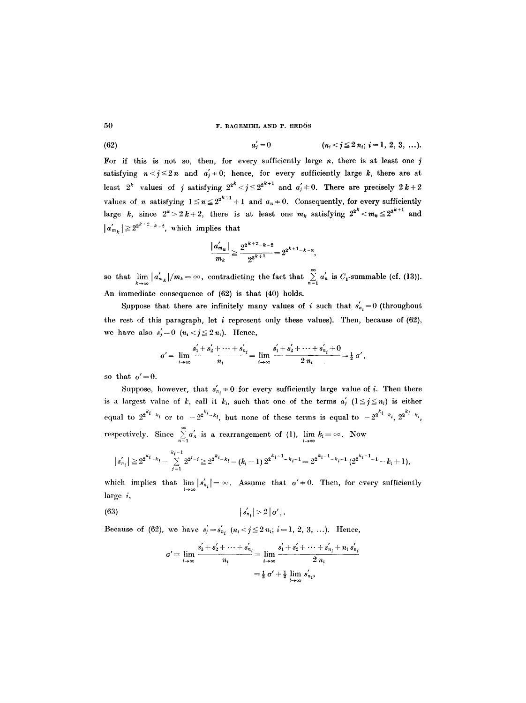(62) 
$$
a'_{j}=0 \qquad \qquad (n_{i} < j \leq 2 \ n_{i}; \ i=1, 2, 3, \ldots).
$$

For if this is not so, then, for every sufficiently large  $n$ , there is at least one  $j$ satisfying  $n < j \le 2n$  and  $a'_i \ne 0$ ; hence, for every sufficiently large k, there are at least  $2^k$  values of j satisfying  $2^{2^k} < j \leq 2^{2^{k+1}}$  and  $a'_j \neq 0$ . There are precisely  $2k+2$ values of *n* satisfying  $1 \le n \le 2^{2^{k+1}} + 1$  and  $a_n \ne 0$ . Consequently, for every sufficiently large k, since  $2^k > 2k+2$ , there is at least one  $m_k$  satisfying  $2^{2^k} < m_k \leq 2^{2^{k+1}}$  and  $|a'_{m_k}| \geq 2^{2^{k+2}-k-2}$ , which implies that

$$
\frac{|a'_{m_k}|}{m_k} \ge \frac{2^{2^{k+2}-k-2}}{2^{2^{k+1}}} = 2^{2^{k+1}-k-2},
$$

so that  $\lim_{k \to \infty} |a'_{m_k}|/m_k = \infty$ , contradicting the fact that  $\sum_{n=1}^{\infty} a'_n$  is  $C_1$ -summable (cf. (13)). An immediate consequence of (62) is that (40) holds.

Suppose that there are infinitely many values of *i* such that  $s'_{n_i} = 0$  (throughout the rest of this paragraph, let  $i$  represent only these values). Then, because of (62), we have also  $s'_{j}=0$   $(n_{i} < j \leq 2 n_{i})$ . Hence,

$$
\sigma' = \lim_{i \to \infty} \frac{s_1' + s_2' + \dots + s_{n_i}'}{n_i} = \lim_{i \to \infty} \frac{s_1' + s_2' + \dots + s_{n_i}' + 0}{2 n_i} = \frac{1}{2} \sigma'
$$

so that  $\sigma' = 0$ .

Suppose, however, that  $s'_{n_i} \neq 0$  for every sufficiently large value of i. Then there is a largest value of k, call it  $k_i$ , such that one of the terms  $a'_i$   $(1 \leq j \leq n_i)$  is either equal to  $2^{2^{k_{i}}-k_{i}}$  or to  $-2^{2^{k_{i}}-k_{i}}$ , but none of these terms is equal to  $-2^{2^{k_{i}}-k_{i}}$ ,  $2^{2^{k_{i}}-k_{i}}$ , respectively. Since  $\sum_{n=1} a'_n$  is a rearrangement of (1),  $\lim_{i\to\infty} k_i = \infty$ . Now

$$
|s'_{n_i}| \geq 2^{2^{k_{i}}-k_i} - \sum_{j=1}^{k_i-1} 2^{2^{j-j}} \geq 2^{2^{k_{i}}-k_i} - (k_i-1) 2^{2^{k_i-1}-k_i+1} = 2^{2^{k_i-1}-k_i+1} (2^{2^{k_i-1}-1}-k_i+1),
$$

which implies that  $\lim_{i\to\infty} |s'_{n_i}| = \infty$ . Assume that  $\sigma' = 0$ . Then, for every sufficiently large i,

(63) 
$$
|s'_{n_i}| > 2 | \sigma' |
$$
.

Because of (62), we have  $s'_{j} = s'_{n_{i}}$   $(n_{i} < j \leq 2 n_{i}; i = 1, 2, 3, ...).$  Hence,

$$
\sigma' = \lim_{i \to \infty} \frac{s_1' + s_2' + \dots + s_{n_i}'}{n_i} = \lim_{i \to \infty} \frac{s_1' + s_2' + \dots + s_{n_i}' + n_i s_{n_i}'}{2 n_i}
$$

$$
= \frac{1}{2} \sigma' + \frac{1}{2} \lim_{i \to \infty} s_{n_i}',
$$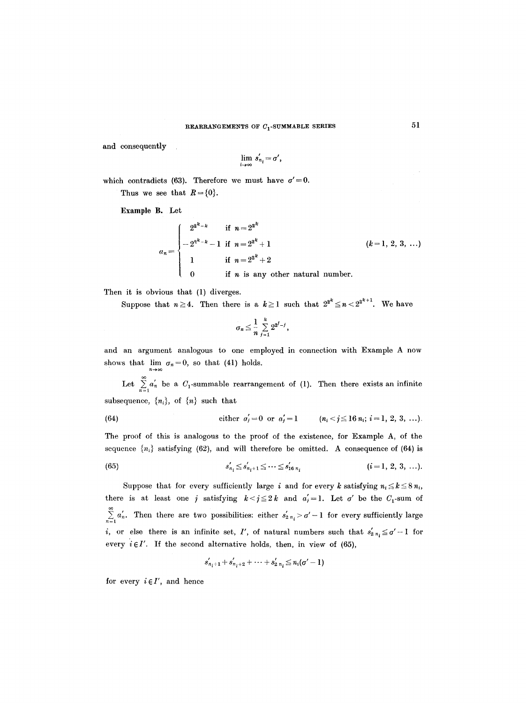and consequently

$$
\lim_{i\to\infty} s'_{n_i}=\sigma',
$$

which contradicts (63). Therefore we must have  $\sigma' = 0$ . Thus we see that  $R = \{0\}.$ 

Example B. Let

$$
a_n = \begin{cases} 2^{2^k - k} & \text{if } n = 2^{2^k} \\ -2^{2^k - k} - 1 & \text{if } n = 2^{2^k} + 1 \\ 1 & \text{if } n = 2^{2^k} + 2 \\ 0 & \text{if } n \text{ is any other natural number.} \end{cases} \qquad (k = 1, 2, 3, ...)
$$

Then it is obvious that (1) diverges.

Suppose that  $n \ge 4$ . Then there is a  $k \ge 1$  such that  $2^{2^k} \le n < 2^{2^{k+1}}$ . We have

$$
\sigma_n\leq \frac{1}{n}\sum_{j=1}^k 2^{2^j-j},
$$

and an argument analogous to one employed in connection with Example A now shows that  $\lim_{n \to \infty} \sigma_n = 0$ , so that (41) holds.  $n\!\to\!\infty$ 

Let  $\sum_{n=1}^{\infty} a'_n$  be a  $C_1$ -summable rearrangement of (1). Then there exists an infinite subsequence,  $\{n_i\}$ , of  $\{n\}$  such that

(64) either 
$$
a'_j = 0
$$
 or  $a'_j = 1$   $(n_i < j \le 16 n_i; i = 1, 2, 3, ...).$ 

The proof of this is analogous to the proof of the existence, for Example A, of the sequence  ${n_i}$  satisfying (62), and will therefore be omitted. A consequence of (64) is

(65) 
$$
s'_{n_i} \leq s'_{n_i+1} \leq \cdots \leq s'_{16 n_i} \qquad (i=1, 2, 3, \ldots).
$$

Suppose that for every sufficiently large i and for every k satisfying  $n_i \leq k \leq 8 n_i$ , there is at least one j satisfying  $k < j \leq 2k$  and  $a'_{j}=1$ . Let  $\sigma'$  be the  $C_{1}$ -sum of  $\sum_{n=1}^{\infty} a'_n$ . Then there are two possibilities: either  $s'_2$   $n_i > \sigma' - 1$  for every sufficiently large *i*, or else there is an infinite set, I', of natural numbers such that  $s'_{2n_i} \leq \sigma' - 1$  for every  $i \in I'$ . If the second alternative holds, then, in view of (65),

$$
s'_{n_i+1}+s'_{n_i+2}+\cdots+s'_{2\ n_i}\leq n_i(\sigma'-1)
$$

for every  $i \in I'$ , and hence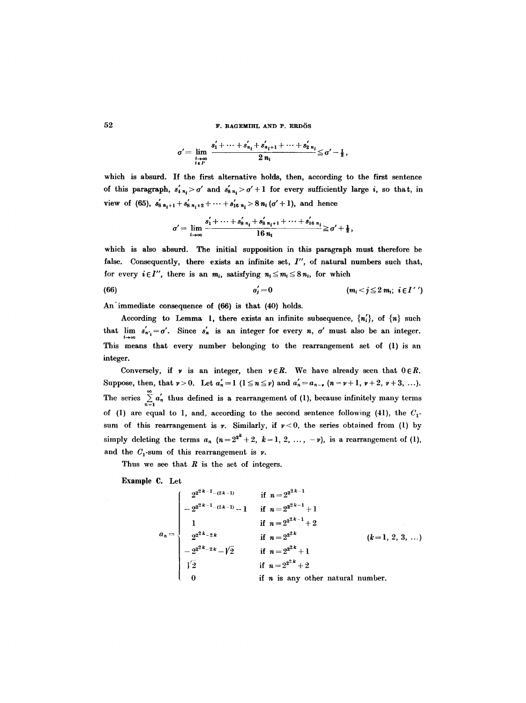$$
\sigma' = \lim_{\substack{i \to \infty \\ i \in I'}} \frac{s'_1 + \dots + s'_{n_i} + s'_{n_i+1} + \dots + s'_{2\,n_i}}{2\,n_i} \leq \sigma' - \frac{1}{2}\,,
$$

which is absurd. If the first alternative holds, then, according to the first sentence of this paragraph,  $s'_{4n_i} > \sigma'$  and  $s'_{8n_i} > \sigma' + 1$  for every sufficiently large i, so that, in view of (65),  $s'_{8\ n_i+1} + s'_{8\ n_i+2} + \cdots + s'_{16\ n_i} > 8\ n_i (\sigma' + 1)$ , and hence

$$
\sigma'=\lim_{i\to\infty}\frac{s_1'+\cdots+s_{8\,n_i}'+s_{8\,n_{i}+1}+\cdots+s_{16\,n_{i}}'}{16\,n_{i}}\geq \sigma'+\tfrac{1}{2},
$$

which is also absurd. The initial supposition in this paragraph must therefore be false. Consequently, there exists an infinite set, I", of natural numbers such that, for every  $i \in I''$ , there is an  $m_i$ , satisfying  $n_i \leq m_i \leq 8 n_i$ , for which

(66) 
$$
a'_j = 0
$$
  $(m_i < j \leq 2 m_i; i \in I'')$ 

An'immediate consequence of (66) is that (40) holds.

According to Lemma 1, there exists an infinite subsequence,  $\{n_i'\}$ , of  $\{n\}$  such that  $\lim_{i \to \infty} s'_{n_i} = \sigma'$ . Since  $s'_n$  is an integer for every *n*,  $\sigma'$  must also be an integer. This means that every number belonging to the rearrangement set of (1) is an integer.

Conversely, if  $\nu$  is an integer, then  $\nu \in R$ . We have already seen that  $0 \in R$ . Suppose, then, that  $\nu > 0$ . Let  $a'_n = 1$   $(1 \le n \le \nu)$  and  $a'_n = a_{n-\nu}$   $(n = \nu + 1, \nu + 2, \nu + 3, \ldots)$ . The series  $\sum_{n=1}^{\infty} a'_n$  thus defined is a rearrangement of (1), because infinitely many terms of (1) are equal to 1, and, according to the second sentence following (41), the  $C_1$ sum of this rearrangement is  $\nu$ . Similarly, if  $\nu < 0$ , the series obtained from (1) by simply deleting the terms  $a_n$   $(n=2^{2^k}+2, k=1, 2, ..., -\nu)$ , is a rearrangement of (1), and the  $C_1$ -sum of this rearrangement is  $\nu$ .

Thus we see that  $R$  is the set of integers.

Example C. Let

$$
a_n = \begin{cases}\n2^{2^{2k-1}-(2k-1)} & \text{if } n = 2^{2^{2k-1}} \\
-2^{2^{2k-1}-(2k-1)}-1 & \text{if } n = 2^{2^{2k-1}}+1 \\
1 & \text{if } n = 2^{2^{2k-1}}+2 \\
2^{2^{2k}-2k} & \text{if } n = 2^{2^{2k}} \\
-2^{2^{2k}-2k}-\sqrt{2} & \text{if } n = 2^{2^{2k}}+1 \\
\sqrt{2} & \text{if } n = 2^{2^{2k}}+2 \\
0 & \text{if } n \text{ is any other natural number.} \n\end{cases}
$$
\n(k=1, 2, 3, ...)